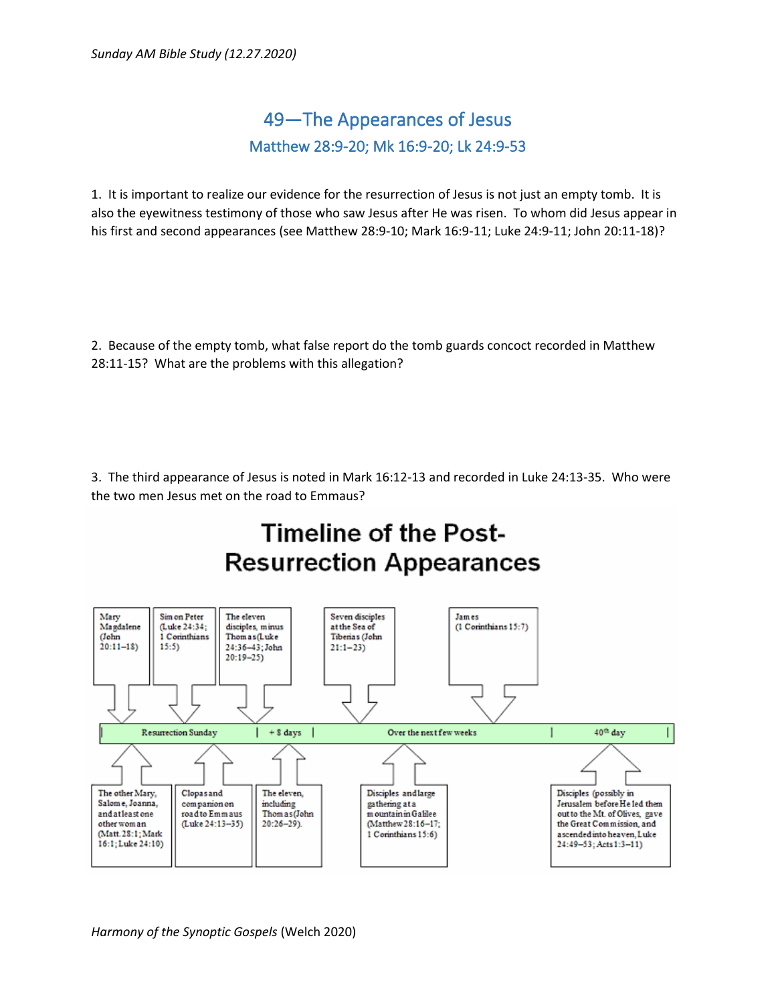## 49—The Appearances of Jesus Matthew 28:9-20; Mk 16:9-20; Lk 24:9-53

1. It is important to realize our evidence for the resurrection of Jesus is not just an empty tomb. It is also the eyewitness testimony of those who saw Jesus after He was risen. To whom did Jesus appear in his first and second appearances (see Matthew 28:9-10; Mark 16:9-11; Luke 24:9-11; John 20:11-18)?

2. Because of the empty tomb, what false report do the tomb guards concoct recorded in Matthew 28:11-15? What are the problems with this allegation?

3. The third appearance of Jesus is noted in Mark 16:12-13 and recorded in Luke 24:13-35. Who were the two men Jesus met on the road to Emmaus?